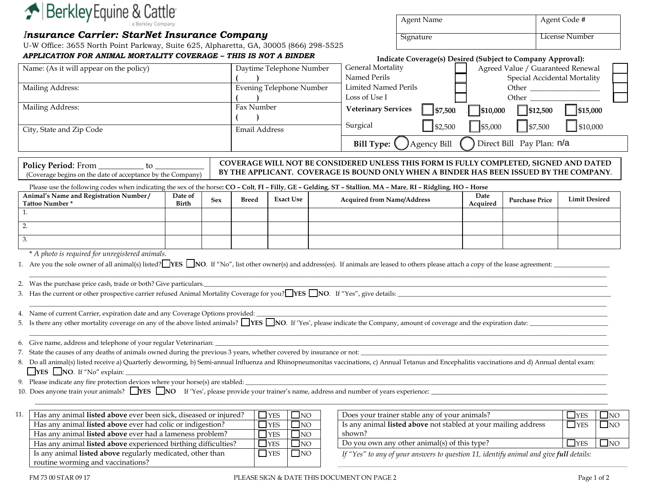

*Insurance Carrier: StarNet Insurance Company* U-W Office: 3655 North Point Parkway, Suite 625, Alpharetta, GA, 30005 (866) 298-5525

## *APPLICATION FOR ANIMAL MORTALITY COVERAGE – THIS IS NOT A BINDER*

Has any animal **listed above** experienced birthing difficulties?  $\Box$  YES  $\Box$  NO

Is any animal **listed above** regularly medicated, other than

| Agent Name | Agent Code #   |
|------------|----------------|
| Signature  | License Number |

| Indicate Coverage(s) Desired (Subject to Company Approval): |  |  |
|-------------------------------------------------------------|--|--|

| Name: (As it will appear on the policy)                                                                                                                                                                                                  |                         |            |                                                                | Daytime Telephone Number                           |                                                                      | <b>General Mortality</b><br>Named Perils                                                                                                                                                                                                                       |                    |                  | Agreed Value / Guaranteed Renewal |                      |           |
|------------------------------------------------------------------------------------------------------------------------------------------------------------------------------------------------------------------------------------------|-------------------------|------------|----------------------------------------------------------------|----------------------------------------------------|----------------------------------------------------------------------|----------------------------------------------------------------------------------------------------------------------------------------------------------------------------------------------------------------------------------------------------------------|--------------------|------------------|-----------------------------------|----------------------|-----------|
| Mailing Address:                                                                                                                                                                                                                         |                         |            | <b>Evening Telephone Number</b><br><b>Limited Named Perils</b> |                                                    |                                                                      | Special Accidental Mortality<br>Other the contract of the contract of the contract of the contract of the contract of the contract of the contract of the contract of the contract of the contract of the contract of the contract of the contract of the cont |                    |                  |                                   |                      |           |
|                                                                                                                                                                                                                                          |                         |            |                                                                |                                                    |                                                                      | Loss of Use I                                                                                                                                                                                                                                                  |                    |                  | Other                             |                      |           |
| Mailing Address:                                                                                                                                                                                                                         |                         |            | Fax Number<br><b>Veterinary Services</b><br>$\bigcup$ \$7,500  |                                                    | $\frac{1}{10,000}$                                                   | $ $   \$12,500                                                                                                                                                                                                                                                 | $\vert$   \$15,000 |                  |                                   |                      |           |
| City, State and Zip Code                                                                                                                                                                                                                 |                         |            | <b>Email Address</b>                                           |                                                    | Surgical<br>$ $ \$2,500<br>$\frac{1}{5,000}$                         |                                                                                                                                                                                                                                                                | $ $ \$7,500        | $ $ \$10,000     |                                   |                      |           |
|                                                                                                                                                                                                                                          |                         |            |                                                                |                                                    | Direct Bill Pay Plan: n/a<br><b>Agency Bill</b><br><b>Bill Type:</b> |                                                                                                                                                                                                                                                                |                    |                  |                                   |                      |           |
| Policy Period: From ___________ to _<br>(Coverage begins on the date of acceptance by the Company)                                                                                                                                       |                         |            |                                                                |                                                    |                                                                      | COVERAGE WILL NOT BE CONSIDERED UNLESS THIS FORM IS FULLY COMPLETED, SIGNED AND DATED<br>BY THE APPLICANT. COVERAGE IS BOUND ONLY WHEN A BINDER HAS BEEN ISSUED BY THE COMPANY.                                                                                |                    |                  |                                   |                      |           |
| Please use the following codes when indicating the sex of the horse: CO - Colt, FI - Filly, GE - Gelding, ST - Stallion, MA - Mare, RI - Ridgling, HO - Horse<br>Animal's Name and Registration Number/<br>Tattoo Number *               | Date of<br><b>Birth</b> | <b>Sex</b> | <b>Breed</b>                                                   | <b>Exact Use</b>                                   |                                                                      | <b>Acquired from Name/Address</b>                                                                                                                                                                                                                              |                    | Date<br>Acquired | <b>Purchase Price</b>             | <b>Limit Desired</b> |           |
| 1.                                                                                                                                                                                                                                       |                         |            |                                                                |                                                    |                                                                      |                                                                                                                                                                                                                                                                |                    |                  |                                   |                      |           |
| 2.                                                                                                                                                                                                                                       |                         |            |                                                                |                                                    |                                                                      |                                                                                                                                                                                                                                                                |                    |                  |                                   |                      |           |
| 3.                                                                                                                                                                                                                                       |                         |            |                                                                |                                                    |                                                                      |                                                                                                                                                                                                                                                                |                    |                  |                                   |                      |           |
|                                                                                                                                                                                                                                          |                         |            |                                                                |                                                    |                                                                      |                                                                                                                                                                                                                                                                |                    |                  |                                   |                      |           |
| * A photo is required for unregistered animals.<br>1. Are you the sole owner of all animal(s) listed? YES NO. If "No", list other owner(s) and address(es). If animals are leased to others please attach a copy of the lease agreement: |                         |            |                                                                |                                                    |                                                                      |                                                                                                                                                                                                                                                                |                    |                  |                                   |                      |           |
| 2. Was the purchase price cash, trade or both? Give particulars.                                                                                                                                                                         |                         |            |                                                                |                                                    |                                                                      |                                                                                                                                                                                                                                                                |                    |                  |                                   |                      |           |
| 3. Has the current or other prospective carrier refused Animal Mortality Coverage for you? YES NO. If "Yes", give details:                                                                                                               |                         |            |                                                                |                                                    |                                                                      |                                                                                                                                                                                                                                                                |                    |                  |                                   |                      |           |
|                                                                                                                                                                                                                                          |                         |            |                                                                |                                                    |                                                                      |                                                                                                                                                                                                                                                                |                    |                  |                                   |                      |           |
| 4. Name of current Carrier, expiration date and any Coverage Options provided:                                                                                                                                                           |                         |            |                                                                |                                                    |                                                                      |                                                                                                                                                                                                                                                                |                    |                  |                                   |                      |           |
| 5. Is there any other mortality coverage on any of the above listed animals? NES NO. If 'Yes', please indicate the Company, amount of coverage and the expiration date:                                                                  |                         |            |                                                                |                                                    |                                                                      |                                                                                                                                                                                                                                                                |                    |                  |                                   |                      |           |
| 6. Give name, address and telephone of your regular Veterinarian:                                                                                                                                                                        |                         |            |                                                                |                                                    |                                                                      |                                                                                                                                                                                                                                                                |                    |                  |                                   |                      |           |
| 7. State the causes of any deaths of animals owned during the previous 3 years, whether covered by insurance or not:                                                                                                                     |                         |            |                                                                |                                                    |                                                                      |                                                                                                                                                                                                                                                                |                    |                  |                                   |                      |           |
| 8. Do all animal(s) listed receive a) Quarterly deworming, b) Semi-annual Influenza and Rhinopneumonitas vaccinations, c) Annual Tetanus and Encephalitis vaccinations and d) Annual dental exam:                                        |                         |            |                                                                |                                                    |                                                                      |                                                                                                                                                                                                                                                                |                    |                  |                                   |                      |           |
| $\Box$ YES $\Box$ NO. If "No" explain: $\Box$                                                                                                                                                                                            |                         |            |                                                                |                                                    |                                                                      |                                                                                                                                                                                                                                                                |                    |                  |                                   |                      |           |
|                                                                                                                                                                                                                                          |                         |            |                                                                |                                                    |                                                                      |                                                                                                                                                                                                                                                                |                    |                  |                                   |                      |           |
|                                                                                                                                                                                                                                          |                         |            |                                                                |                                                    |                                                                      |                                                                                                                                                                                                                                                                |                    |                  |                                   |                      |           |
| 11.<br>Has any animal listed above ever been sick, diseased or injured?                                                                                                                                                                  |                         |            |                                                                | $\Box$ YES<br>$\Box$ NO                            |                                                                      | Does your trainer stable any of your animals?                                                                                                                                                                                                                  |                    |                  |                                   | $\Box$ YES           | $\Box$ NO |
| Has any animal listed above ever had colic or indigestion?<br>Has any animal listed above ever had a lameness problem?                                                                                                                   |                         |            |                                                                | $\Box$ YES<br>$\Box$ NO<br>$\Box$ NO<br>$\Box$ YES |                                                                      | Is any animal listed above not stabled at your mailing address<br>shown?                                                                                                                                                                                       |                    |                  |                                   | $\Box$ YES           | $\Box$ NO |

\_\_\_\_\_\_\_\_\_\_\_\_\_\_\_\_\_\_\_\_\_\_\_\_\_\_\_\_\_\_\_\_\_\_\_\_\_\_\_\_\_\_\_\_\_\_\_\_\_\_\_\_\_\_\_\_\_\_\_\_\_\_\_\_\_\_\_\_\_\_\_\_\_\_\_\_\_\_\_\_\_\_\_\_\_\_\_\_\_\_\_\_\_\_\_\_\_\_\_\_\_\_\_\_\_\_\_\_\_\_\_\_\_\_\_\_\_\_\_\_\_\_\_\_\_\_\_\_\_\_\_\_\_\_\_\_\_\_\_\_\_

*If "Yes" to any of your answers to question 11, identify animal and give full details:* 

routine worming and vaccinations?

 $\Box$ NO

 $\Box$  YES